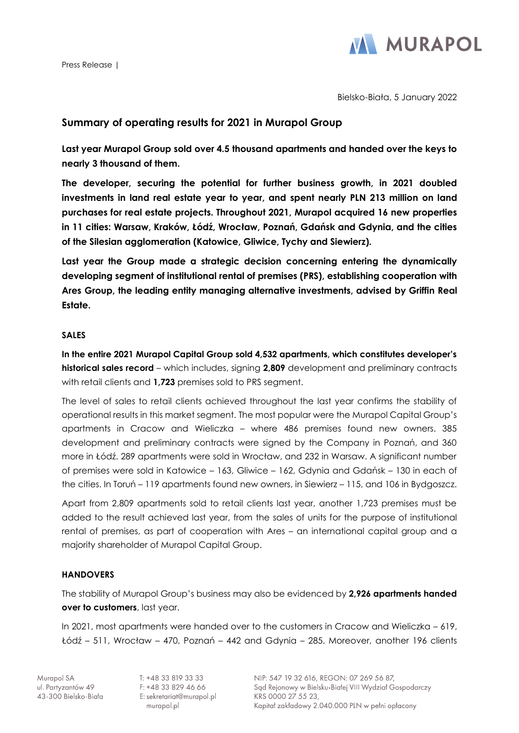Press Release |



Bielsko-Biała, 5 January 2022

# **Summary of operating results for 2021 in Murapol Group**

**Last year Murapol Group sold over 4.5 thousand apartments and handed over the keys to nearly 3 thousand of them.**

**The developer, securing the potential for further business growth, in 2021 doubled investments in land real estate year to year, and spent nearly PLN 213 million on land purchases for real estate projects. Throughout 2021, Murapol acquired 16 new properties in 11 cities: Warsaw, Kraków, Łódź, Wrocław, Poznań, Gdańsk and Gdynia, and the cities of the Silesian agglomeration (Katowice, Gliwice, Tychy and Siewierz).**

**Last year the Group made a strategic decision concerning entering the dynamically developing segment of institutional rental of premises (PRS), establishing cooperation with Ares Group, the leading entity managing alternative investments, advised by Griffin Real Estate.**

### **SALES**

**In the entire 2021 Murapol Capital Group sold 4,532 apartments, which constitutes developer's historical sales record** – which includes, signing **2,809** development and preliminary contracts with retail clients and **1,723** premises sold to PRS segment.

The level of sales to retail clients achieved throughout the last year confirms the stability of operational results in this market segment. The most popular were the Murapol Capital Group's apartments in Cracow and Wieliczka – where 486 premises found new owners. 385 development and preliminary contracts were signed by the Company in Poznań, and 360 more in Łódź. 289 apartments were sold in Wrocław, and 232 in Warsaw. A significant number of premises were sold in Katowice – 163, Gliwice – 162, Gdynia and Gdańsk – 130 in each of the cities. In Toruń – 119 apartments found new owners, in Siewierz – 115, and 106 in Bydgoszcz.

Apart from 2,809 apartments sold to retail clients last year, another 1,723 premises must be added to the result achieved last year, from the sales of units for the purpose of institutional rental of premises, as part of cooperation with Ares – an international capital group and a majority shareholder of Murapol Capital Group.

## **HANDOVERS**

The stability of Murapol Group's business may also be evidenced by **2,926 apartments handed over to customers**, last year.

In 2021, most apartments were handed over to the customers in Cracow and Wieliczka – 619, Łódź – 511, Wrocław – 470, Poznań – 442 and Gdynia – 285. Moreover, another 196 clients

T: +48 33 819 33 33 F: +48 33 829 46 66 E: sekretariat@murapol.pl murapol.pl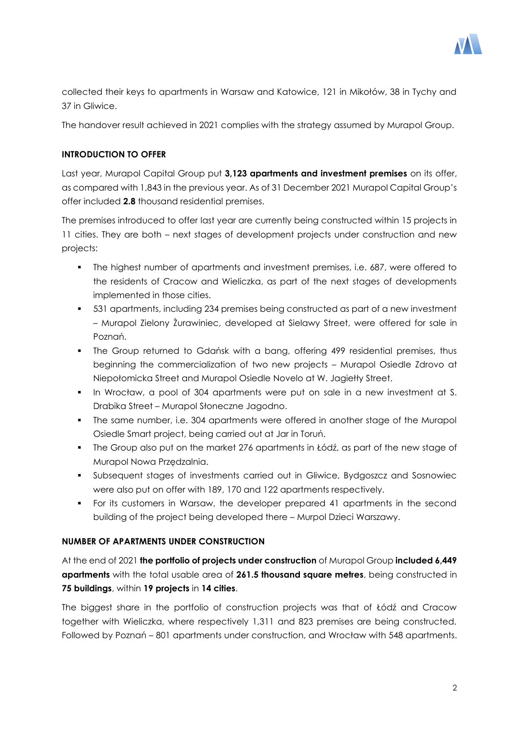

collected their keys to apartments in Warsaw and Katowice, 121 in Mikołów, 38 in Tychy and 37 in Gliwice.

The handover result achieved in 2021 complies with the strategy assumed by Murapol Group.

## **INTRODUCTION TO OFFER**

Last year, Murapol Capital Group put **3,123 apartments and investment premises** on its offer, as compared with 1,843 in the previous year. As of 31 December 2021 Murapol Capital Group's offer included **2.8** thousand residential premises.

The premises introduced to offer last year are currently being constructed within 15 projects in 11 cities. They are both – next stages of development projects under construction and new projects:

- The highest number of apartments and investment premises, i.e. 687, were offered to the residents of Cracow and Wieliczka, as part of the next stages of developments implemented in those cities.
- 531 apartments, including 234 premises being constructed as part of a new investment – Murapol Zielony Żurawiniec, developed at Sielawy Street, were offered for sale in Poznań.
- The Group returned to Gdańsk with a bang, offering 499 residential premises, thus beginning the commercialization of two new projects – Murapol Osiedle Zdrovo at Niepołomicka Street and Murapol Osiedle Novelo at W. Jagiełły Street.
- In Wrocław, a pool of 304 apartments were put on sale in a new investment at S. Drabika Street – Murapol Słoneczne Jagodno.
- The same number, i.e. 304 apartments were offered in another stage of the Murapol Osiedle Smart project, being carried out at Jar in Toruń.
- The Group also put on the market 276 apartments in Łódź, as part of the new stage of Murapol Nowa Przędzalnia.
- Subsequent stages of investments carried out in Gliwice, Bydgoszcz and Sosnowiec were also put on offer with 189, 170 and 122 apartments respectively.
- For its customers in Warsaw, the developer prepared 41 apartments in the second building of the project being developed there – Murpol Dzieci Warszawy.

## **NUMBER OF APARTMENTS UNDER CONSTRUCTION**

At the end of 2021 **the portfolio of projects under construction** of Murapol Group **included 6,449 apartments** with the total usable area of **261.5 thousand square metres**, being constructed in **75 buildings**, within **19 projects** in **14 cities**.

The biggest share in the portfolio of construction projects was that of Łódź and Cracow together with Wieliczka, where respectively 1,311 and 823 premises are being constructed. Followed by Poznań – 801 apartments under construction, and Wrocław with 548 apartments.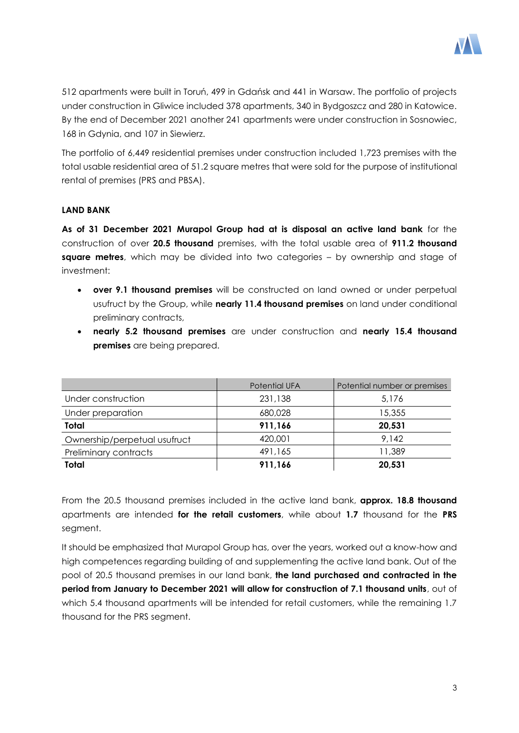

512 apartments were built in Toruń, 499 in Gdańsk and 441 in Warsaw. The portfolio of projects under construction in Gliwice included 378 apartments, 340 in Bydgoszcz and 280 in Katowice. By the end of December 2021 another 241 apartments were under construction in Sosnowiec, 168 in Gdynia, and 107 in Siewierz.

The portfolio of 6,449 residential premises under construction included 1,723 premises with the total usable residential area of 51.2 square metres that were sold for the purpose of institutional rental of premises (PRS and PBSA).

## **LAND BANK**

**As of 31 December 2021 Murapol Group had at is disposal an active land bank** for the construction of over **20.5 thousand** premises, with the total usable area of **911.2 thousand square metres**, which may be divided into two categories – by ownership and stage of investment:

- **over 9.1 thousand premises** will be constructed on land owned or under perpetual usufruct by the Group, while **nearly 11.4 thousand premises** on land under conditional preliminary contracts,
- **nearly 5.2 thousand premises** are under construction and **nearly 15.4 thousand premises** are being prepared.

|                              | <b>Potential UFA</b> | Potential number or premises |
|------------------------------|----------------------|------------------------------|
| Under construction           | 231,138              | 5.176                        |
| Under preparation            | 680,028              | 15,355                       |
| Total                        | 911,166              | 20,531                       |
| Ownership/perpetual usufruct | 420,001              | 9,142                        |
| Preliminary contracts        | 491,165              | 11,389                       |
| Total                        | 911,166              | 20,531                       |

From the 20.5 thousand premises included in the active land bank, **approx. 18.8 thousand** apartments are intended **for the retail customers**, while about **1.7** thousand for the **PRS** segment.

It should be emphasized that Murapol Group has, over the years, worked out a know-how and high competences regarding building of and supplementing the active land bank. Out of the pool of 20.5 thousand premises in our land bank, **the land purchased and contracted in the period from January to December 2021 will allow for construction of 7.1 thousand units**, out of which 5.4 thousand apartments will be intended for retail customers, while the remaining 1.7 thousand for the PRS segment.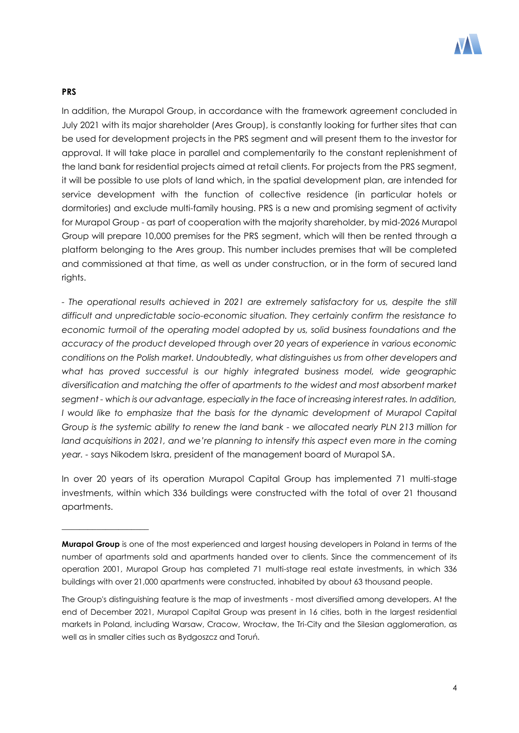

### **PRS**

\_\_\_\_\_\_\_\_\_\_\_\_\_\_\_\_\_\_\_\_

In addition, the Murapol Group, in accordance with the framework agreement concluded in July 2021 with its major shareholder (Ares Group), is constantly looking for further sites that can be used for development projects in the PRS segment and will present them to the investor for approval. It will take place in parallel and complementarily to the constant replenishment of the land bank for residential projects aimed at retail clients. For projects from the PRS segment, it will be possible to use plots of land which, in the spatial development plan, are intended for service development with the function of collective residence (in particular hotels or dormitories) and exclude multi-family housing. PRS is a new and promising segment of activity for Murapol Group - as part of cooperation with the majority shareholder, by mid-2026 Murapol Group will prepare 10,000 premises for the PRS segment, which will then be rented through a platform belonging to the Ares group. This number includes premises that will be completed and commissioned at that time, as well as under construction, or in the form of secured land rights.

*- The operational results achieved in 2021 are extremely satisfactory for us, despite the still difficult and unpredictable socio-economic situation. They certainly confirm the resistance to economic turmoil of the operating model adopted by us, solid business foundations and the accuracy of the product developed through over 20 years of experience in various economic conditions on the Polish market. Undoubtedly, what distinguishes us from other developers and*  what has proved successful is our highly integrated business model, wide geographic *diversification and matching the offer of apartments to the widest and most absorbent market segment - which is our advantage, especially in the face of increasing interest rates. In addition, I* would like to emphasize that the basis for the dynamic development of Murapol Capital *Group is the systemic ability to renew the land bank - we allocated nearly PLN 213 million for land acquisitions in 2021, and we're planning to intensify this aspect even more in the coming year. -* says Nikodem Iskra, president of the management board of Murapol SA.

In over 20 years of its operation Murapol Capital Group has implemented 71 multi-stage investments, within which 336 buildings were constructed with the total of over 21 thousand apartments.

**Murapol Group** is one of the most experienced and largest housing developers in Poland in terms of the number of apartments sold and apartments handed over to clients. Since the commencement of its operation 2001, Murapol Group has completed 71 multi-stage real estate investments, in which 336 buildings with over 21,000 apartments were constructed, inhabited by about 63 thousand people.

The Group's distinguishing feature is the map of investments - most diversified among developers. At the end of December 2021, Murapol Capital Group was present in 16 cities, both in the largest residential markets in Poland, including Warsaw, Cracow, Wrocław, the Tri-City and the Silesian agglomeration, as well as in smaller cities such as Bydgoszcz and Toruń.